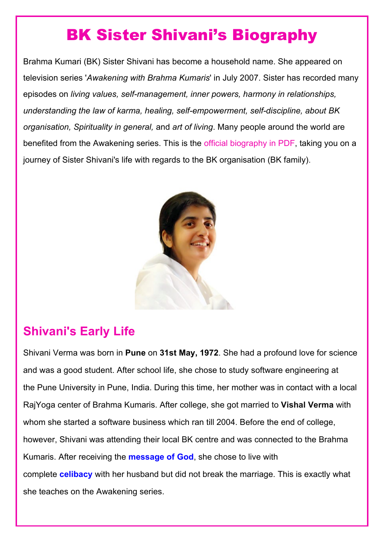# BK Sister Shivani's [Biography](https://www.shivbabas.org/bk-shivani)

Brahma Kumari (BK) Sister Shivani has become a household name. She appeared on television series '*Awakening with Brahma Kumaris*' in July 2007. Sister has recorded many episodes on *living values, self-management, inner powers, harmony in relationships, understanding the law of karma, healing, self-empowerment, self-discipline, about BK organisation, Spirituality in general,* and *art of living*. Many people around the world are benefited from the Awakening series. This is the official biography in PDF, taking you on a journey of Sister Shivani's life with regards to the BK organisation (BK family).



# **Shivani's Early Life**

Shivani Verma was born in **Pune** on **31st May, 1972**. She had a profound love for science and was a good student. After school life, she chose to study software engineering at the Pune University in Pune, India. During this time, her mother was in contact with a local RajYoga center of Brahma Kumaris. After college, she got married to **Vishal Verma** with whom she started a software business which ran till 2004. Before the end of college, however, Shivani was attending their local BK centre and was connected to the Brahma Kumaris. After receiving the **[message](https://www.shivbabas.org/shiv-baba-message) of God**, she chose to live with complete **[celibacy](https://www.shivbabas.org/celibacy)** with her husband but did not break the marriage. This is exactly what she teaches on the Awakening series.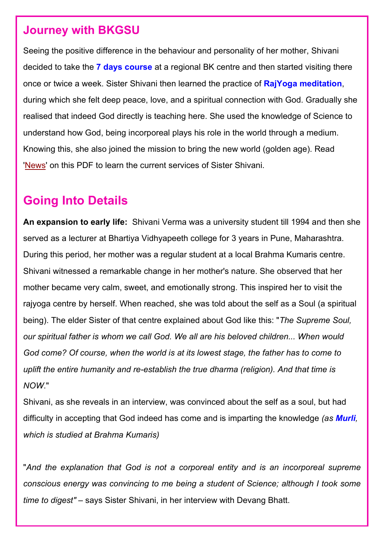#### **Journey with BKGSU**

Seeing the positive difference in the behaviour and personality of her mother, Shivani decided to take the **7 days [course](https://www.shivbabas.org/rajyoga-course)** at a regional BK centre and then started visiting there once or twice a week. Sister Shivani then learned the practice of **RajYoga [meditation](https://www.shivbabas.org/rajyoga-meditation)**, during which she felt deep peace, love, and a spiritual connection with God. Gradually she realised that indeed God directly is teaching here. She used the knowledge of Science to understand how God, being incorporeal plays his role in the world through a medium. Knowing this, she also joined the mission to bring the new world (golden age). Read ['News'](#page-2-0) on this PDF to learn the current services of Sister Shivani.

# **Going Into Details**

**An expansion to early life:** Shivani Verma was a university student till 1994 and then she served as a lecturer at Bhartiya Vidhyapeeth college for 3 years in Pune, Maharashtra. During this period, her mother was a regular student at a local Brahma Kumaris centre. Shivani witnessed a remarkable change in her mother's nature. She observed that her mother became very calm, sweet, and emotionally strong. This inspired her to visit the rajyoga centre by herself. When reached, she was told about the self as a Soul (a spiritual being). The elder Sister of that centre explained about God like this: "*The Supreme Soul, our spiritual father is whom we call God. We all are his beloved children... When would God come? Of course, when the world is at its lowest stage, the father has to come to uplift the entire humanity and re-establish the true dharma (religion). And that time is NOW*."

Shivani, as she reveals in an interview, was convinced about the self as a soul, but had difficulty in accepting that God indeed has come and is imparting the knowledge *(as [Murli](https://www.bkgsu.org/what-is-murli), which is studied at Brahma Kumaris)*

"*And the explanation that God is not a corporeal entity and is an incorporeal supreme conscious energy was convincing to me being a student of Science; although I took some time to digest"* – says Sister Shivani, in her interview with Devang Bhatt.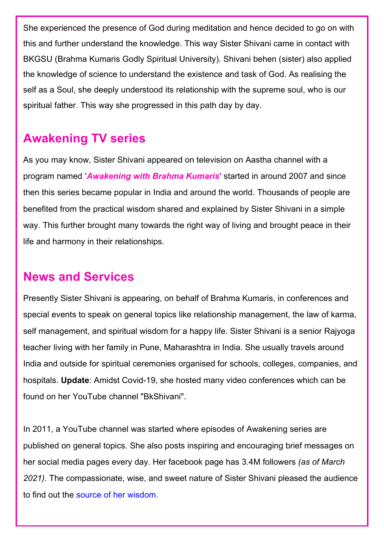She experienced the presence of God during meditation and hence decided to go on with this and further understand the knowledge. This way Sister Shivani came in contact with BKGSU (Brahma Kumaris Godly Spiritual University). Shivani behen (sister) also applied the knowledge of science to understand the existence and task of God. As realising the self as a Soul, she deeply understood its relationship with the supreme soul, who is our spiritual father. This way she progressed in this path day by day.

# <span id="page-2-0"></span>**Awakening TV series**

As you may know, Sister Shivani appeared on television on Aastha channel with a program named **'***Awakening with Brahma Kumaris***'** started in around 2007 and since then this series became popular in India and around the world. Thousands of people are benefited from the practical wisdom shared and explained by Sister Shivani in a simple way. This further brought many towards the right way of living and brought peace in their life and harmony in their relationships.

# **News and Services**

Presently Sister Shivani is appearing, on behalf of Brahma Kumaris, in conferences and special events to speak on general topics like relationship management, the law of karma, self management, and spiritual wisdom for a happy life. Sister Shivani is a senior Rajyoga teacher living with her family in Pune, Maharashtra in India. She usually travels around India and outside for spiritual ceremonies organised for schools, colleges, companies, and hospitals. **Update**: Amidst Covid-19, she hosted many video conferences which can be found on her YouTube channel "BkShivani".

In 2011, a YouTube channel was started where episodes of Awakening series are published on general topics. She also posts inspiring and encouraging brief messages on her social media pages every day. Her facebook page has 3.4M followers *(as of March 2021)*. The compassionate, wise, and sweet nature of Sister Shivani pleased the audience to find out the source of her [wisdom.](https://www.shivbabas.org/post/BK-Shivani-Source-of-Wisdom-is-Murli)